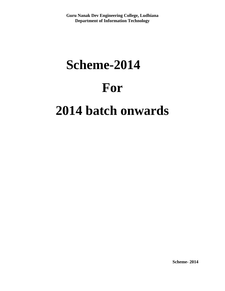# **Scheme-2014 For 2014 batch onwards**

**Scheme- 2014**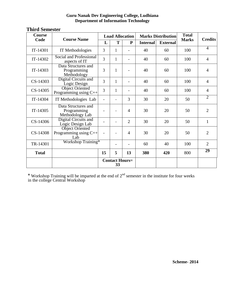| Course       | <b>Course Name</b>                                       | <b>Load Allocation</b>      |              |                |                 | <b>Marks Distribution</b> | <b>Total</b> | <b>Credits</b> |
|--------------|----------------------------------------------------------|-----------------------------|--------------|----------------|-----------------|---------------------------|--------------|----------------|
| Code         |                                                          | L                           | T            | ${\bf P}$      | <b>Internal</b> | <b>External</b>           | <b>Marks</b> |                |
| IT-14301     | IT Methodologies                                         | 3                           | 1            |                | 40              | 60                        | 100          | $\overline{4}$ |
| IT-14302     | Social and Professional<br>aspects of IT                 | $\overline{3}$              | $\mathbf{1}$ |                | 40              | 60                        | 100          | $\overline{4}$ |
| IT-14303     | Data Structures and<br>Programming<br>Methodology        | 3                           | $\mathbf{1}$ |                | 40              | 60                        | 100          | 4              |
| $CS-14303$   | Digital Circuits and<br>Logic Design                     | 3                           | 1            |                | 40              | 60                        | 100          | $\overline{4}$ |
| $CS-14305$   | <b>Object Oriented</b><br>Programming using $C++$        | 3                           | $\mathbf{1}$ |                | 40              | 60                        | 100          | $\overline{4}$ |
| IT-14304     | IT Methodologies Lab                                     | $\overline{\phantom{a}}$    |              | 3              | 30              | 20                        | 50           | $\overline{2}$ |
| IT-14305     | Data Structures and<br>Programming<br>Methodology Lab    |                             |              | $\overline{4}$ | 30              | 20                        | 50           | $\overline{2}$ |
| CS-14306     | Digital Circuits and<br>Logic Design Lab                 |                             |              | $\overline{2}$ | 30              | 20                        | 50           | $\mathbf{1}$   |
| CS-14308     | <b>Object Oriented</b><br>Programming using $C++$<br>Lab |                             |              | $\overline{4}$ | 30              | 20                        | 50           | $\overline{2}$ |
| TR-14301     | Workshop Training*                                       |                             |              |                | 60              | 40                        | 100          | $\overline{2}$ |
| <b>Total</b> |                                                          | 15                          | 5            | 13             | 380             | 420                       | 800          | 29             |
|              |                                                          | <b>Contact Hours=</b><br>33 |              |                |                 |                           |              |                |

## **Third Semester**

\* Workshop Training will be imparted at the end of  $2<sup>nd</sup>$  semester in the institute for four weeks in the college Central Workshop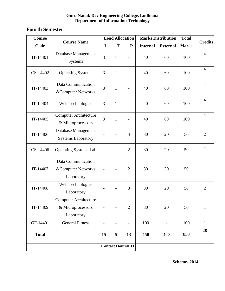# **Fourth Semester**

| Course       |                                                                 | <b>Load Allocation</b>   |                          |                          | <b>Marks Distribution</b> |                 | <b>Total</b> | <b>Credits</b> |
|--------------|-----------------------------------------------------------------|--------------------------|--------------------------|--------------------------|---------------------------|-----------------|--------------|----------------|
| Code         | <b>Course Name</b>                                              | L                        | T                        | ${\bf P}$                | <b>Internal</b>           | <b>External</b> | <b>Marks</b> |                |
| IT-14401     | Database Management<br>Systems                                  | 3                        | $\mathbf{1}$             |                          | 40                        | 60              | 100          | $\overline{4}$ |
| CS-14402     | <b>Operating Systems</b>                                        | $\overline{3}$           | $\mathbf{1}$             |                          | 40                        | 60              | 100          | $\overline{4}$ |
| IT-14403     | Data Communication<br>&Computer Networks                        | 3                        | $\mathbf{1}$             |                          | 40                        | 60              | 100          | $\overline{4}$ |
| IT-14404     | Web Technologies                                                | $\overline{3}$           | $\mathbf{1}$             |                          | 40                        | 60              | 100          | $\overline{4}$ |
| IT-14405     | <b>Computer Architecture</b><br>& Microprocessors               | $\overline{3}$           | $\mathbf{1}$             |                          | 40                        | 60              | 100          | $\overline{4}$ |
| IT-14406     | Database Management<br><b>Systems Laboratory</b>                | $\overline{a}$           |                          | $\overline{4}$           | 30                        | 20              | 50           | $\overline{2}$ |
| CS-14406     | <b>Operating Systems Lab</b>                                    |                          |                          | $\overline{2}$           | 30                        | 20              | 50           | $\mathbf{1}$   |
| IT-14407     | Data Communication<br>&Computer Networks<br>Laboratory          |                          |                          | $\overline{2}$           | 30                        | 20              | 50           | $\mathbf{1}$   |
| IT-14408     | Web Technologies<br>Laboratory                                  |                          |                          | 3                        | 30                        | 20              | 50           | $\overline{2}$ |
| IT-14409     | <b>Computer Architecture</b><br>& Microprocessors<br>Laboratory | $\overline{\phantom{0}}$ |                          | $\overline{2}$           | 30                        | 20              | 50           | $\mathbf{1}$   |
| GF-14401     | <b>General Fitness</b>                                          | $\overline{\phantom{a}}$ | $\overline{\phantom{a}}$ | $\overline{\phantom{a}}$ | 100                       | $\blacksquare$  | 100          | $\mathbf{1}$   |
| <b>Total</b> |                                                                 | 15                       | 5                        | 13                       | 450                       | 400             | 850          | 28             |
|              |                                                                 |                          |                          | <b>Contact Hours=33</b>  |                           |                 |              |                |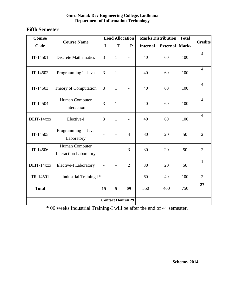## **Fifth Semester**

| Course       | <b>Course Name</b>                              | <b>Load Allocation</b>  |              | <b>Marks Distribution</b> |                 | <b>Total</b>    | <b>Credits</b> |                |
|--------------|-------------------------------------------------|-------------------------|--------------|---------------------------|-----------------|-----------------|----------------|----------------|
| Code         |                                                 | L                       | T            | ${\bf P}$                 | <b>Internal</b> | <b>External</b> | <b>Marks</b>   |                |
| IT-14501     | <b>Discrete Mathematics</b>                     | 3                       | $\mathbf{1}$ |                           | 40              | 60              | 100            | $\overline{4}$ |
| IT-14502     | Programming in Java                             | $\overline{3}$          | $\mathbf{1}$ |                           | 40              | 60              | 100            | $\overline{4}$ |
| IT-14503     | Theory of Computation                           | 3                       | $\mathbf{1}$ |                           | 40              | 60              | 100            | $\overline{4}$ |
| IT-14504     | Human Computer<br>Interaction                   | 3                       | $\mathbf{1}$ |                           | 40              | 60              | 100            | $\overline{4}$ |
| DEIT-14xxx   | Elective-I                                      | 3                       | $\mathbf{1}$ |                           | 40              | 60              | 100            | $\overline{4}$ |
| IT-14505     | Programming in Java<br>Laboratory               | $\overline{a}$          |              | $\overline{4}$            | 30              | 20              | 50             | $\overline{2}$ |
| IT-14506     | Human Computer<br><b>Interaction Laboratory</b> |                         |              | 3                         | 30              | 20              | 50             | $\overline{2}$ |
| DEIT-14xxx   | Elective-I Laboratory                           |                         |              | $\overline{2}$            | 30              | 20              | 50             | $\mathbf{1}$   |
| TR-14501     | Industrial Training-I*                          |                         |              |                           | 60              | 40              | 100            | $\overline{2}$ |
| <b>Total</b> |                                                 | 15                      | 5            | 09                        | 350             | 400             | 750            | 27             |
|              |                                                 | <b>Contact Hours=29</b> |              |                           |                 |                 |                |                |

\* 06 weeks Industrial Training-I will be after the end of 4<sup>th</sup> semester.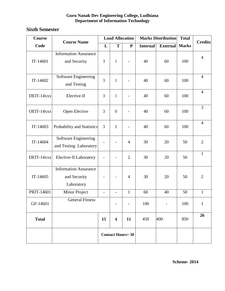## **Sixth Semester**

| Course       | <b>Course Name</b>                                         |                          | <b>Load Allocation</b>   |                | <b>Marks Distribution</b> |                 | <b>Total</b> | <b>Credits</b> |
|--------------|------------------------------------------------------------|--------------------------|--------------------------|----------------|---------------------------|-----------------|--------------|----------------|
| Code         |                                                            | L                        | T                        | ${\bf P}$      | <b>Internal</b>           | <b>External</b> | <b>Marks</b> |                |
| IT-14601     | <b>Information Assurance</b><br>and Security               | 3                        | $\mathbf{1}$             |                | 40                        | 60              | 100          | $\overline{4}$ |
| IT-14602     | <b>Software Engineering</b><br>and Testing                 | $\overline{3}$           | $\mathbf{1}$             |                | 40                        | 60              | 100          | $\overline{4}$ |
| DEIT-14xxx   | Elective-II                                                | 3                        | $\mathbf{1}$             |                | 40                        | 60              | 100          | $\overline{4}$ |
| OEIT-14xxx   | Open Elective                                              | 3                        | $\boldsymbol{0}$         |                | 40                        | 60              | 100          | $\overline{3}$ |
| IT-14603     | Probability and Statistics                                 | 3                        | $\mathbf{1}$             |                | 40                        | 60              | 100          | $\overline{4}$ |
| IT-14604     | Software Engineering<br>and Testing Laboratory             |                          |                          | $\overline{4}$ | 30                        | 20              | 50           | $\overline{2}$ |
| DEIT-14xxx   | Elective-II Laboratory                                     |                          |                          | $\overline{2}$ | 30                        | 20              | 50           | $\mathbf{1}$   |
| IT-14605     | <b>Information Assurance</b><br>and Security<br>Laboratory |                          |                          | $\overline{4}$ | 30                        | 20              | 50           | $\overline{2}$ |
| PRIT-14601   | Minor Project                                              | $\overline{\phantom{0}}$ | $\overline{\phantom{m}}$ | $\mathbf{1}$   | 60                        | 40              | 50           | $\mathbf{1}$   |
| GF-14601     | <b>General Fitness</b>                                     |                          |                          |                | 100                       |                 | 100          | $\mathbf{1}$   |
| <b>Total</b> |                                                            | 15                       | $\overline{\mathbf{4}}$  | 11             | 450                       | 400             | 850          | 26             |
|              |                                                            | <b>Contact Hours=30</b>  |                          |                |                           |                 |              |                |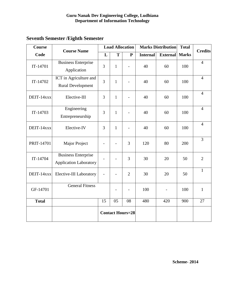| <b>Course</b> | <b>Course Name</b>                                          |                | <b>Load Allocation</b> |                         | <b>Marks Distribution</b> |                 | <b>Total</b> | <b>Credits</b> |
|---------------|-------------------------------------------------------------|----------------|------------------------|-------------------------|---------------------------|-----------------|--------------|----------------|
| Code          |                                                             | L              | T                      | ${\bf P}$               | <b>Internal</b>           | <b>External</b> | <b>Marks</b> |                |
| IT-14701      | <b>Business Enterprise</b><br>Application                   | 3              | $\mathbf{1}$           | $\overline{a}$          | 40                        | 60              | 100          | $\overline{4}$ |
| IT-14702      | ICT in Agriculture and<br><b>Rural Development</b>          | $\overline{3}$ | $\mathbf{1}$           |                         | 40                        | 60              | 100          | $\overline{4}$ |
| DEIT-14xxx    | Elective-III                                                | $\overline{3}$ | $\mathbf{1}$           |                         | 40                        | 60              | 100          | $\overline{4}$ |
| IT-14703      | Engineering<br>Entrepreneurship                             | $\overline{3}$ | $\mathbf{1}$           |                         | 40                        | 60              | 100          | $\overline{4}$ |
| DEIT-14xxx    | Elective-IV                                                 | 3              | $\mathbf{1}$           | $\overline{a}$          | 40                        | 60              | 100          | $\overline{4}$ |
| PRIT-14701    | <b>Major Project</b>                                        |                |                        | 3                       | 120                       | 80              | 200          | $\overline{3}$ |
| IT-14704      | <b>Business Enterprise</b><br><b>Application Laboratory</b> |                |                        | 3                       | 30                        | 20              | 50           | $\overline{2}$ |
| DEIT-14xxx    | Elective-III Laboratory                                     |                | $\overline{a}$         | $\overline{2}$          | 30                        | 20              | 50           | $\mathbf{1}$   |
| GF-14701      | <b>General Fitness</b>                                      |                | $\overline{a}$         | $\overline{a}$          | 100                       | $\blacksquare$  | 100          | $\mathbf{1}$   |
| <b>Total</b>  |                                                             | 15             | 05                     | 08                      | 480                       | 420             | 900          | 27             |
|               |                                                             |                |                        | <b>Contact Hours=28</b> |                           |                 |              |                |

# **Seventh Semester /Eighth Semester**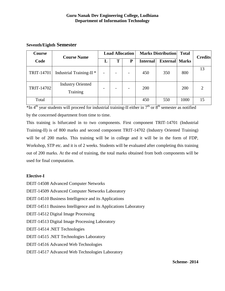## **Seventh/Eighth Semester**

| <b>Course</b> | <b>Course Name</b>                   | <b>Load Allocation</b> |  |                          |                 | <b>Marks Distribution</b> | <b>Total</b> | <b>Credits</b> |
|---------------|--------------------------------------|------------------------|--|--------------------------|-----------------|---------------------------|--------------|----------------|
| Code          |                                      | L                      |  | P                        | <b>Internal</b> | <b>External Marks</b>     |              |                |
| TRIT-14701    | Industrial Training-II <sup>*</sup>  |                        |  | $\overline{\phantom{0}}$ | 450             | 350                       | 800          | 13             |
| TRIT-14702    | <b>Industry Oriented</b><br>Training |                        |  | $\overline{\phantom{0}}$ | 200             |                           | 200          | $\overline{2}$ |
| Total         |                                      |                        |  |                          | 450             | 550                       | 1000         | 15             |

 $*$ In 4<sup>th</sup> year students will proceed for industrial training-II either in  $7<sup>th</sup>$  or  $8<sup>th</sup>$  semester as notified by the concerned department from time to time.

This training is bifurcated in to two components. First component TRIT-14701 (Industrial Training-II) is of 800 marks and second component TRIT-14702 (Industry Oriented Training) will be of 200 marks. This training will be in college and it will be in the form of FDP, Workshop, STP etc. and it is of 2 weeks. Students will be evaluated after completing this training out of 200 marks. At the end of training, the total marks obtained from both components will be used for final computation.

## **Elective-I**

DEIT-14508 Advanced Computer Networks DEIT-14509 Advanced Computer Networks Laboratory DEIT-14510 Business Intelligence and its Applications DEIT-14511 Business Intelligence and its Applications Laboratory DEIT-14512 Digital Image Processing DEIT-14513 Digital Image Processing Laboratory DEIT-14514 .NET Technologies DEIT-14515 .NET Technologies Laboratory DEIT-14516 Advanced Web Technologies DEIT-14517 Advanced Web Technologies Laboratory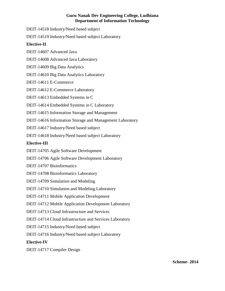DEIT-14518 Industry/Need based subject

DEIT-14519 Industry/Need based subject Laboratory

## **Elective-II**

DEIT-14607 Advanced Java

DEIT-14608 Advanced Java Laboratory

DEIT-14609 Big Data Analytics

DEIT-14610 Big Data Analytics Laboratory

DEIT-14611 E-Commerce

DEIT-14612 E-Commerce Laboratory

DEIT-14613 Embedded Systems in C

DEIT-14614 Embedded Systems in C Laboratory

DEIT-14615 Information Storage and Management

DEIT-14616 Information Storage and Management Laboratory

DEIT-14617 Industry/Need based subject

DEIT-14618 Industry/Need based subject Laboratory

## **Elective-III**

DEIT-14705 Agile Software Development

DEIT-14706 Agile Software Development Laboratory

DEIT-14707 Bioinformatics

DEIT-14708 Bioinformatics Laboratory

DEIT-14709 Simulation and Modeling

DEIT-14710 Simulation and Modeling Laboratory

DEIT-14711 Mobile Application Development

DEIT-14712 Mobile Application Development Laboratory

DEIT-14713 Cloud Infrastructure and Services

DEIT-14714 Cloud Infrastructure and Services Laboratory

DEIT-14715 Industry/Need based subject

DEIT-14716 Industry/Need based subject Laboratory

## **Elective-IV**

DEIT-14717 Compiler Design